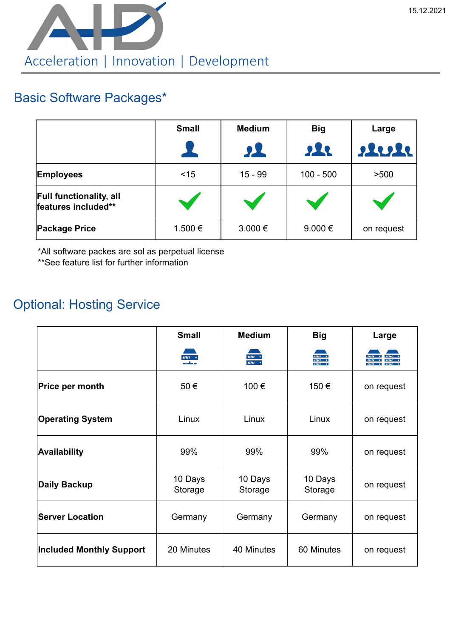

## Basic Software Packages\*

|                                                       | <b>Small</b> | <b>Medium</b> | <b>Big</b>  | Large      |
|-------------------------------------------------------|--------------|---------------|-------------|------------|
|                                                       | 24           | 91            | sle         | 22222      |
| <b>Employees</b>                                      | $<$ 15       | $15 - 99$     | $100 - 500$ | >500       |
| <b>Full functionality, all</b><br>features included** |              |               |             |            |
| <b>Package Price</b>                                  | 1.500 €      | $3.000 \in$   | $9.000 \in$ | on request |

\*All software packes are sol as perpetual license

\*\*See feature list for further information

## Optional: Hosting Service

|                                 | <b>Small</b>       | <b>Medium</b>                        | <b>Big</b>                                      | Large      |
|---------------------------------|--------------------|--------------------------------------|-------------------------------------------------|------------|
|                                 | $\frac{nm}{1}$     | $mm \rightarrow$<br>$mm \rightarrow$ | $\frac{1}{2}$<br>$\frac{1}{2}$<br>$\frac{1}{2}$ |            |
| Price per month                 | 50€                | 100€                                 | 150€                                            | on request |
| <b>Operating System</b>         | Linux              | Linux                                | Linux                                           | on request |
| Availability                    | 99%                | 99%                                  | 99%                                             | on request |
| Daily Backup                    | 10 Days<br>Storage | 10 Days<br>Storage                   | 10 Days<br>Storage                              | on request |
| <b>Server Location</b>          | Germany            | Germany                              | Germany                                         | on request |
| <b>Included Monthly Support</b> | 20 Minutes         | 40 Minutes                           | 60 Minutes                                      | on request |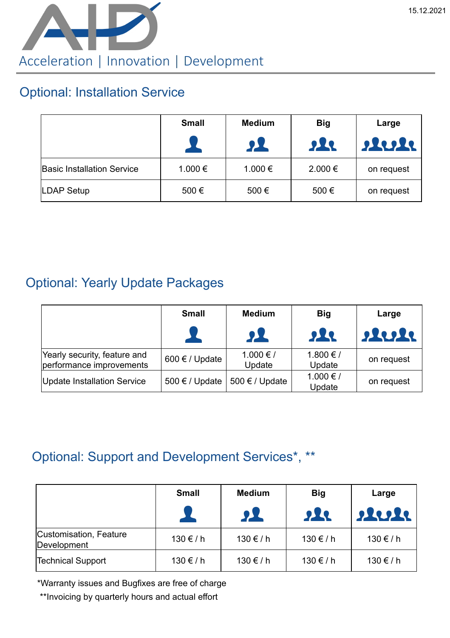

#### Optional: Installation Service

|                                   | <b>Small</b> | <b>Medium</b><br>$\mathbf{p}$ | <b>Big</b><br><b>SIL</b> | Large<br>steste |
|-----------------------------------|--------------|-------------------------------|--------------------------|-----------------|
| <b>Basic Installation Service</b> | 1.000 €      | 1.000 €                       | $2.000 \in$              | on request      |
| <b>LDAP Setup</b>                 | 500€         | 500€                          | 500€                     | on request      |

## Optional: Yearly Update Packages

|                                                          | <b>Small</b>            | <b>Medium</b>           | <b>Big</b>          | Large      |
|----------------------------------------------------------|-------------------------|-------------------------|---------------------|------------|
|                                                          |                         | $\mathbf{P}$            | $\mathbf{R}$        | Aule       |
| Yearly security, feature and<br>performance improvements | 600 $\epsilon$ / Update | $1.000 \in I$<br>Update | 1.800 €/<br>Update  | on request |
| Update Installation Service                              | 500 $\epsilon$ / Update | 500 $\epsilon$ / Update | 1.000 € /<br>Update | on request |

# Optional: Support and Development Services\*, \*\*

|                                       | <b>Small</b>     | <b>Medium</b><br>21 | <b>Big</b><br>222 | Large<br>22222       |
|---------------------------------------|------------------|---------------------|-------------------|----------------------|
| Customisation, Feature<br>Development | $130 \text{€}/h$ | $130 \text{€} / h$  | $130 \text{€}/h$  | $130 \text{€}/h$     |
| <b>Technical Support</b>              | $130 \text{€}/h$ | $130 \text{€}/h$    | $130 \text{€}/h$  | $130 \text{ € } / h$ |

\*Warranty issues and Bugfixes are free of charge

\*\*Invoicing by quarterly hours and actual effort